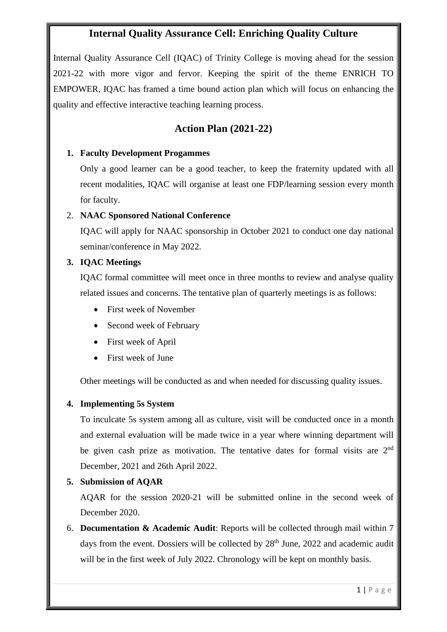### **Internal Quality Assurance Cell: Enriching Quality Culture**

Internal Quality Assurance Cell (IQAC) of Trinity College is moving ahead for the session 2021-22 with more vigor and fervor. Keeping the spirit of the theme ENRICH TO EMPOWER, IQAC has framed a time bound action plan which will focus on enhancing the quality and effective interactive teaching learning process.

### **Action Plan (2021-22)**

#### **1. Faculty Development Progammes**

Only a good learner can be a good teacher, to keep the fraternity updated with all recent modalities, IQAC will organise at least one FDP/learning session every month for faculty.

#### 2. **NAAC Sponsored National Conference**

IQAC will apply for NAAC sponsorship in October 2021 to conduct one day national seminar/conference in May 2022.

#### **3. IQAC Meetings**

IQAC formal committee will meet once in three months to review and analyse quality related issues and concerns. The tentative plan of quarterly meetings is as follows:

- First week of November
- Second week of February
- First week of April
- First week of June

Other meetings will be conducted as and when needed for discussing quality issues.

#### **4. Implementing 5s System**

To inculcate 5s system among all as culture, visit will be conducted once in a month and external evaluation will be made twice in a year where winning department will be given cash prize as motivation. The tentative dates for formal visits are 2<sup>nd</sup> December, 2021 and 26th April 2022.

#### **5. Submission of AQAR**

AQAR for the session 2020-21 will be submitted online in the second week of December 2020.

6. **Documentation & Academic Audit**: Reports will be collected through mail within 7 days from the event. Dossiers will be collected by  $28<sup>th</sup>$  June, 2022 and academic audit will be in the first week of July 2022. Chronology will be kept on monthly basis.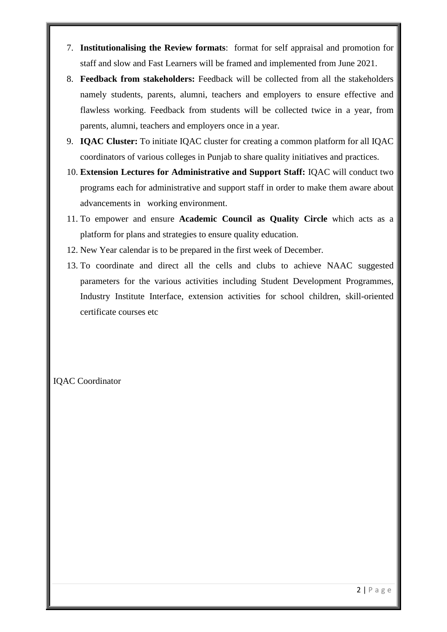- 7. **Institutionalising the Review formats**: format for self appraisal and promotion for staff and slow and Fast Learners will be framed and implemented from June 2021.
- 8. **Feedback from stakeholders:** Feedback will be collected from all the stakeholders namely students, parents, alumni, teachers and employers to ensure effective and flawless working. Feedback from students will be collected twice in a year, from parents, alumni, teachers and employers once in a year.
- 9. **IQAC Cluster:** To initiate IQAC cluster for creating a common platform for all IQAC coordinators of various colleges in Punjab to share quality initiatives and practices.
- 10. **Extension Lectures for Administrative and Support Staff:** IQAC will conduct two programs each for administrative and support staff in order to make them aware about advancements in working environment.
- 11. To empower and ensure **Academic Council as Quality Circle** which acts as a platform for plans and strategies to ensure quality education.
- 12. New Year calendar is to be prepared in the first week of December.
- 13. To coordinate and direct all the cells and clubs to achieve NAAC suggested parameters for the various activities including Student Development Programmes, Industry Institute Interface, extension activities for school children, skill-oriented certificate courses etc

#### IQAC Coordinator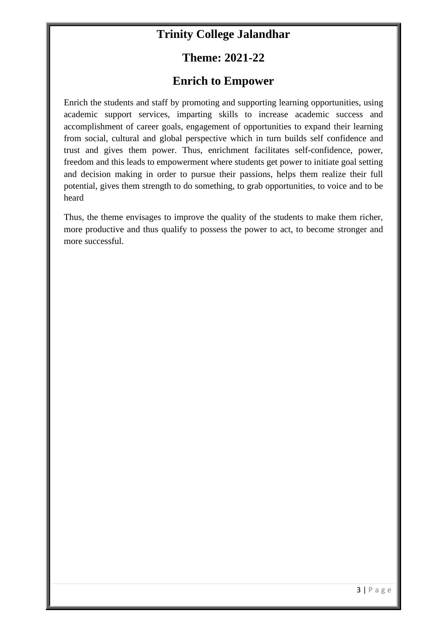# **Trinity College Jalandhar**

# **Theme: 2021-22**

## **Enrich to Empower**

Enrich the students and staff by promoting and supporting learning opportunities, using academic support services, imparting skills to increase academic success and accomplishment of career goals, engagement of opportunities to expand their learning from social, cultural and global perspective which in turn builds self confidence and trust and gives them power. Thus, enrichment facilitates self-confidence, power, freedom and this leads to empowerment where students get power to initiate goal setting and decision making in order to pursue their passions, helps them realize their full potential, gives them strength to do something, to grab opportunities, to voice and to be heard

Thus, the theme envisages to improve the quality of the students to make them richer, more productive and thus qualify to possess the power to act, to become stronger and more successful.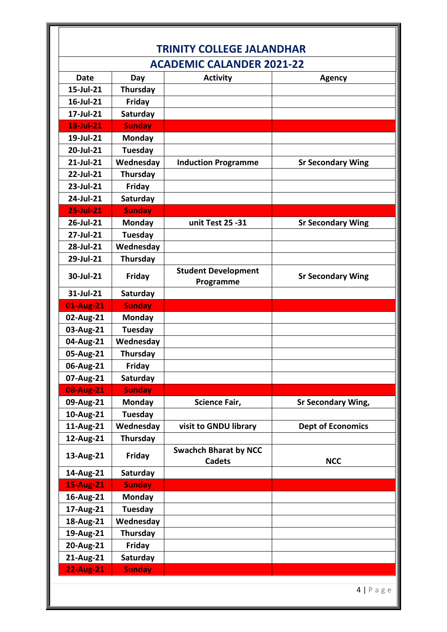| <b>TRINITY COLLEGE JALANDHAR</b> |                           |                                               |                           |
|----------------------------------|---------------------------|-----------------------------------------------|---------------------------|
| <b>ACADEMIC CALANDER 2021-22</b> |                           |                                               |                           |
| <b>Date</b>                      | Day                       | <b>Activity</b>                               | <b>Agency</b>             |
| 15-Jul-21                        | Thursday                  |                                               |                           |
| 16-Jul-21                        | Friday                    |                                               |                           |
| 17-Jul-21                        | Saturday                  |                                               |                           |
| $18$ -Jul-21                     | <b>Sunday</b>             |                                               |                           |
| 19-Jul-21                        | <b>Monday</b>             |                                               |                           |
| 20-Jul-21                        | Tuesday                   |                                               |                           |
| 21-Jul-21                        | Wednesday                 | <b>Induction Programme</b>                    | <b>Sr Secondary Wing</b>  |
| 22-Jul-21                        | <b>Thursday</b>           |                                               |                           |
| 23-Jul-21                        | <b>Friday</b>             |                                               |                           |
| 24-Jul-21                        | Saturday                  |                                               |                           |
| $25$ -Jul-21                     | <b>Sunday</b>             |                                               |                           |
| 26-Jul-21                        | <b>Monday</b>             | unit Test 25 -31                              | <b>Sr Secondary Wing</b>  |
| 27-Jul-21                        | <b>Tuesday</b>            |                                               |                           |
| 28-Jul-21                        | Wednesday                 |                                               |                           |
| 29-Jul-21                        | Thursday                  |                                               |                           |
| 30-Jul-21                        | Friday                    | <b>Student Development</b><br>Programme       | <b>Sr Secondary Wing</b>  |
| 31-Jul-21                        | Saturday                  |                                               |                           |
| 01-Aug-21                        | <b>Sunday</b>             |                                               |                           |
|                                  |                           |                                               |                           |
| 02-Aug-21                        | <b>Monday</b>             |                                               |                           |
| 03-Aug-21                        | Tuesday                   |                                               |                           |
| 04-Aug-21                        | Wednesday                 |                                               |                           |
| 05-Aug-21                        | Thursday                  |                                               |                           |
| 06-Aug-21                        | <b>Friday</b>             |                                               |                           |
| 07-Aug-21                        | Saturday                  |                                               |                           |
| 08-Aug-21                        | <b>Sunday</b>             |                                               |                           |
| 09-Aug-21                        | <b>Monday</b>             | Science Fair,                                 | <b>Sr Secondary Wing,</b> |
| 10-Aug-21                        | Tuesday                   |                                               |                           |
| 11-Aug-21                        | Wednesday                 | visit to GNDU library                         | <b>Dept of Economics</b>  |
| 12-Aug-21                        | Thursday                  |                                               |                           |
| 13-Aug-21                        | <b>Friday</b>             | <b>Swachch Bharat by NCC</b><br><b>Cadets</b> | <b>NCC</b>                |
| 14-Aug-21                        | Saturday                  |                                               |                           |
| 15-Aug-21                        | <b>Sunday</b>             |                                               |                           |
| 16-Aug-21                        | <b>Monday</b>             |                                               |                           |
| 17-Aug-21                        | Tuesday                   |                                               |                           |
| 18-Aug-21                        | Wednesday                 |                                               |                           |
| 19-Aug-21                        | Thursday                  |                                               |                           |
| 20-Aug-21                        | Friday                    |                                               |                           |
| 21-Aug-21<br><b>22-Aug-21</b>    | Saturday<br><b>Sunday</b> |                                               |                           |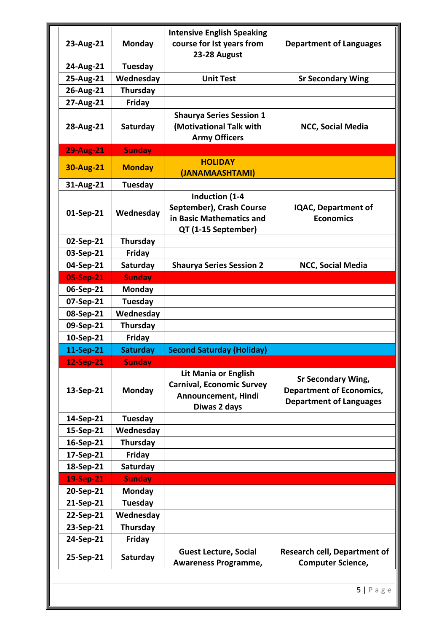|                  |                 | <b>Intensive English Speaking</b>                                                                      |                                                                                                |
|------------------|-----------------|--------------------------------------------------------------------------------------------------------|------------------------------------------------------------------------------------------------|
| 23-Aug-21        | Monday          | course for Ist years from                                                                              | <b>Department of Languages</b>                                                                 |
|                  |                 | 23-28 August                                                                                           |                                                                                                |
| 24-Aug-21        | Tuesday         |                                                                                                        |                                                                                                |
| 25-Aug-21        | Wednesday       | <b>Unit Test</b>                                                                                       | <b>Sr Secondary Wing</b>                                                                       |
| 26-Aug-21        | Thursday        |                                                                                                        |                                                                                                |
| 27-Aug-21        | <b>Friday</b>   |                                                                                                        |                                                                                                |
|                  |                 | <b>Shaurya Series Session 1</b>                                                                        |                                                                                                |
| 28-Aug-21        | Saturday        | (Motivational Talk with                                                                                | <b>NCC, Social Media</b>                                                                       |
|                  |                 | <b>Army Officers</b>                                                                                   |                                                                                                |
| <b>29-Aug-21</b> | <b>Sunday</b>   |                                                                                                        |                                                                                                |
| <b>30-Aug-21</b> | <b>Monday</b>   | <b>HOLIDAY</b>                                                                                         |                                                                                                |
|                  | <b>Tuesday</b>  | (JANAMAASHTAMI)                                                                                        |                                                                                                |
| 31-Aug-21        |                 | Induction (1-4                                                                                         |                                                                                                |
|                  |                 | September), Crash Course                                                                               | <b>IQAC, Department of</b>                                                                     |
| 01-Sep-21        | Wednesday       | in Basic Mathematics and                                                                               | <b>Economics</b>                                                                               |
|                  |                 | QT (1-15 September)                                                                                    |                                                                                                |
| 02-Sep-21        | Thursday        |                                                                                                        |                                                                                                |
| 03-Sep-21        | <b>Friday</b>   |                                                                                                        |                                                                                                |
| 04-Sep-21        | Saturday        | <b>Shaurya Series Session 2</b>                                                                        | NCC, Social Media                                                                              |
| 05-Sep-21        | <b>Sunday</b>   |                                                                                                        |                                                                                                |
| 06-Sep-21        | Monday          |                                                                                                        |                                                                                                |
| 07-Sep-21        | <b>Tuesday</b>  |                                                                                                        |                                                                                                |
| 08-Sep-21        | Wednesday       |                                                                                                        |                                                                                                |
| 09-Sep-21        | Thursday        |                                                                                                        |                                                                                                |
| 10-Sep-21        | <b>Friday</b>   |                                                                                                        |                                                                                                |
| 11-Sep-21        | <b>Saturday</b> | <b>Second Saturday (Holiday)</b>                                                                       |                                                                                                |
| 12-Sep-21        | <b>Sunday</b>   |                                                                                                        |                                                                                                |
| 13-Sep-21        | Monday          | <b>Lit Mania or English</b><br><b>Carnival, Economic Survey</b><br>Announcement, Hindi<br>Diwas 2 days | <b>Sr Secondary Wing,</b><br><b>Department of Economics,</b><br><b>Department of Languages</b> |
| 14-Sep-21        | Tuesday         |                                                                                                        |                                                                                                |
| 15-Sep-21        | Wednesday       |                                                                                                        |                                                                                                |
| 16-Sep-21        | Thursday        |                                                                                                        |                                                                                                |
| 17-Sep-21        | <b>Friday</b>   |                                                                                                        |                                                                                                |
| 18-Sep-21        | Saturday        |                                                                                                        |                                                                                                |
| 19-Sep-21        | <b>Sunday</b>   |                                                                                                        |                                                                                                |
| 20-Sep-21        | <b>Monday</b>   |                                                                                                        |                                                                                                |
| 21-Sep-21        | Tuesday         |                                                                                                        |                                                                                                |
| 22-Sep-21        | Wednesday       |                                                                                                        |                                                                                                |
| 23-Sep-21        | Thursday        |                                                                                                        |                                                                                                |
| 24-Sep-21        | <b>Friday</b>   |                                                                                                        |                                                                                                |
| 25-Sep-21        | Saturday        | <b>Guest Lecture, Social</b><br>Awareness Programme,                                                   | <b>Research cell, Department of</b><br><b>Computer Science,</b>                                |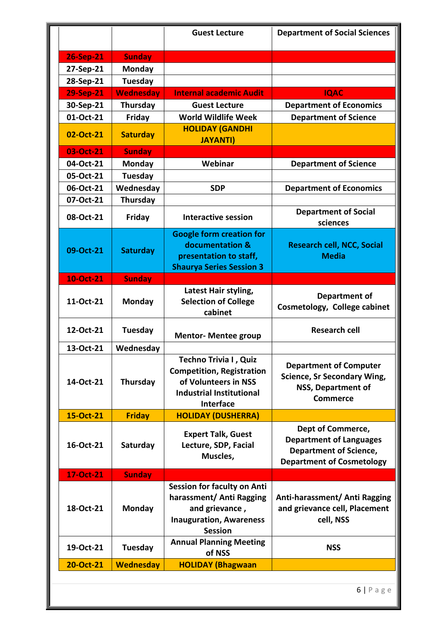| <b>26-Sep-21</b><br><b>Sunday</b><br>27-Sep-21<br>Monday<br>28-Sep-21<br>Tuesday<br>29-Sep-21<br><b>Wednesday</b><br><b>Internal academic Audit</b><br><b>IQAC</b><br>30-Sep-21<br>Thursday<br><b>Department of Economics</b><br><b>Guest Lecture</b><br>01-Oct-21<br><b>World Wildlife Week</b><br><b>Department of Science</b><br><b>Friday</b><br><b>HOLIDAY (GANDHI</b><br><b>Saturday</b><br>02-Oct-21<br><b>JAYANTI)</b><br>03-Oct-21<br><b>Sunday</b><br>Webinar<br>04-Oct-21<br>Monday<br><b>Department of Science</b><br>05-Oct-21<br><b>Tuesday</b> |  |
|---------------------------------------------------------------------------------------------------------------------------------------------------------------------------------------------------------------------------------------------------------------------------------------------------------------------------------------------------------------------------------------------------------------------------------------------------------------------------------------------------------------------------------------------------------------|--|
|                                                                                                                                                                                                                                                                                                                                                                                                                                                                                                                                                               |  |
|                                                                                                                                                                                                                                                                                                                                                                                                                                                                                                                                                               |  |
|                                                                                                                                                                                                                                                                                                                                                                                                                                                                                                                                                               |  |
|                                                                                                                                                                                                                                                                                                                                                                                                                                                                                                                                                               |  |
|                                                                                                                                                                                                                                                                                                                                                                                                                                                                                                                                                               |  |
|                                                                                                                                                                                                                                                                                                                                                                                                                                                                                                                                                               |  |
|                                                                                                                                                                                                                                                                                                                                                                                                                                                                                                                                                               |  |
|                                                                                                                                                                                                                                                                                                                                                                                                                                                                                                                                                               |  |
|                                                                                                                                                                                                                                                                                                                                                                                                                                                                                                                                                               |  |
|                                                                                                                                                                                                                                                                                                                                                                                                                                                                                                                                                               |  |
|                                                                                                                                                                                                                                                                                                                                                                                                                                                                                                                                                               |  |
| Wednesday<br>06-Oct-21<br><b>SDP</b><br><b>Department of Economics</b>                                                                                                                                                                                                                                                                                                                                                                                                                                                                                        |  |
| 07-Oct-21<br>Thursday                                                                                                                                                                                                                                                                                                                                                                                                                                                                                                                                         |  |
| <b>Department of Social</b><br>08-Oct-21<br>Friday<br><b>Interactive session</b><br>sciences                                                                                                                                                                                                                                                                                                                                                                                                                                                                  |  |
| <b>Google form creation for</b><br>documentation &<br><b>Research cell, NCC, Social</b><br>09-Oct-21<br><b>Saturday</b><br>presentation to staff,<br><b>Media</b><br><b>Shaurya Series Session 3</b>                                                                                                                                                                                                                                                                                                                                                          |  |
| 10-Oct-21<br><b>Sunday</b>                                                                                                                                                                                                                                                                                                                                                                                                                                                                                                                                    |  |
| Latest Hair styling,<br><b>Department of</b><br><b>Selection of College</b><br>11-Oct-21<br>Monday<br>Cosmetology, College cabinet<br>cabinet                                                                                                                                                                                                                                                                                                                                                                                                                 |  |
| 12-Oct-21<br><b>Tuesday</b><br><b>Research cell</b><br><b>Mentor- Mentee group</b>                                                                                                                                                                                                                                                                                                                                                                                                                                                                            |  |
| 13-Oct-21<br>Wednesday                                                                                                                                                                                                                                                                                                                                                                                                                                                                                                                                        |  |
| Techno Trivia I, Quiz<br><b>Department of Computer</b><br><b>Competition, Registration</b><br><b>Science, Sr Secondary Wing,</b><br>of Volunteers in NSS<br>14-Oct-21<br>Thursday<br>NSS, Department of<br><b>Industrial Institutional</b><br><b>Commerce</b><br>Interface                                                                                                                                                                                                                                                                                    |  |
| <b>Friday</b><br><b>HOLIDAY (DUSHERRA)</b><br>15-Oct-21                                                                                                                                                                                                                                                                                                                                                                                                                                                                                                       |  |
| Dept of Commerce,<br><b>Expert Talk, Guest</b><br><b>Department of Languages</b><br>Lecture, SDP, Facial<br>16-Oct-21<br>Saturday<br><b>Department of Science,</b><br>Muscles,<br><b>Department of Cosmetology</b>                                                                                                                                                                                                                                                                                                                                            |  |
| <b>Sunday</b><br>17-Oct-21                                                                                                                                                                                                                                                                                                                                                                                                                                                                                                                                    |  |
| Session for faculty on Anti<br>harassment/ Anti Ragging<br>Anti-harassment/ Anti Ragging<br>and grievance cell, Placement<br>and grievance,<br>18-Oct-21<br><b>Monday</b><br>cell, NSS<br><b>Inauguration, Awareness</b><br><b>Session</b>                                                                                                                                                                                                                                                                                                                    |  |
| <b>Annual Planning Meeting</b><br>19-Oct-21<br>Tuesday<br><b>NSS</b><br>of NSS                                                                                                                                                                                                                                                                                                                                                                                                                                                                                |  |
| <b>Wednesday</b><br>20-Oct-21<br><b>HOLIDAY (Bhagwaan</b>                                                                                                                                                                                                                                                                                                                                                                                                                                                                                                     |  |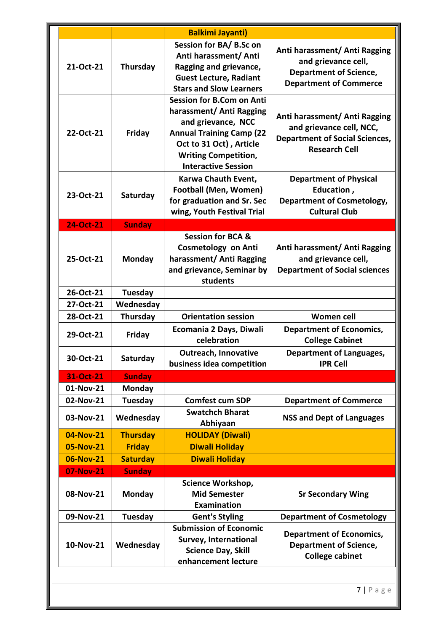|           |                 | <b>Balkimi Jayanti)</b>                                                                                                                                                                                       |                                                                                                                            |
|-----------|-----------------|---------------------------------------------------------------------------------------------------------------------------------------------------------------------------------------------------------------|----------------------------------------------------------------------------------------------------------------------------|
| 21-Oct-21 | Thursday        | Session for BA/B.Sc on<br>Anti harassment/ Anti<br>Ragging and grievance,<br><b>Guest Lecture, Radiant</b><br><b>Stars and Slow Learners</b>                                                                  | Anti harassment/ Anti Ragging<br>and grievance cell,<br><b>Department of Science,</b><br><b>Department of Commerce</b>     |
| 22-Oct-21 | Friday          | <b>Session for B.Com on Anti</b><br>harassment/ Anti Ragging<br>and grievance, NCC<br><b>Annual Training Camp (22</b><br>Oct to 31 Oct), Article<br><b>Writing Competition,</b><br><b>Interactive Session</b> | Anti harassment/ Anti Ragging<br>and grievance cell, NCC,<br><b>Department of Social Sciences,</b><br><b>Research Cell</b> |
| 23-Oct-21 | Saturday        | Karwa Chauth Event,<br><b>Football (Men, Women)</b><br>for graduation and Sr. Sec<br>wing, Youth Festival Trial                                                                                               | <b>Department of Physical</b><br>Education,<br><b>Department of Cosmetology,</b><br><b>Cultural Club</b>                   |
| 24-Oct-21 | <b>Sunday</b>   |                                                                                                                                                                                                               |                                                                                                                            |
| 25-Oct-21 | Monday          | <b>Session for BCA &amp;</b><br><b>Cosmetology on Anti</b><br>harassment/ Anti Ragging<br>and grievance, Seminar by<br>students                                                                               | Anti harassment/ Anti Ragging<br>and grievance cell,<br><b>Department of Social sciences</b>                               |
| 26-Oct-21 | Tuesday         |                                                                                                                                                                                                               |                                                                                                                            |
| 27-Oct-21 | Wednesday       |                                                                                                                                                                                                               |                                                                                                                            |
| 28-Oct-21 | Thursday        | <b>Orientation session</b>                                                                                                                                                                                    | <b>Women cell</b>                                                                                                          |
| 29-Oct-21 | Friday          | Ecomania 2 Days, Diwali<br>celebration                                                                                                                                                                        | <b>Department of Economics,</b><br><b>College Cabinet</b>                                                                  |
| 30-Oct-21 | Saturday        | <b>Outreach, Innovative</b><br>business idea competition                                                                                                                                                      | <b>Department of Languages,</b><br><b>IPR Cell</b>                                                                         |
| 31-Oct-21 | <b>Sunday</b>   |                                                                                                                                                                                                               |                                                                                                                            |
| 01-Nov-21 | <b>Monday</b>   |                                                                                                                                                                                                               |                                                                                                                            |
| 02-Nov-21 | Tuesday         | <b>Comfest cum SDP</b>                                                                                                                                                                                        | <b>Department of Commerce</b>                                                                                              |
| 03-Nov-21 | Wednesday       | <b>Swatchch Bharat</b><br>Abhiyaan                                                                                                                                                                            | <b>NSS and Dept of Languages</b>                                                                                           |
| 04-Nov-21 | <b>Thursday</b> | <b>HOLIDAY (Diwali)</b>                                                                                                                                                                                       |                                                                                                                            |
| 05-Nov-21 | <b>Friday</b>   | <b>Diwali Holiday</b>                                                                                                                                                                                         |                                                                                                                            |
| 06-Nov-21 | <b>Saturday</b> | <b>Diwali Holiday</b>                                                                                                                                                                                         |                                                                                                                            |
| 07-Nov-21 | <b>Sunday</b>   |                                                                                                                                                                                                               |                                                                                                                            |
| 08-Nov-21 | <b>Monday</b>   | Science Workshop,<br><b>Mid Semester</b><br>Examination                                                                                                                                                       | <b>Sr Secondary Wing</b>                                                                                                   |
| 09-Nov-21 | Tuesday         | <b>Gent's Styling</b>                                                                                                                                                                                         | <b>Department of Cosmetology</b>                                                                                           |
| 10-Nov-21 | Wednesday       | <b>Submission of Economic</b><br>Survey, International<br><b>Science Day, Skill</b><br>enhancement lecture                                                                                                    | <b>Department of Economics,</b><br><b>Department of Science,</b><br><b>College cabinet</b>                                 |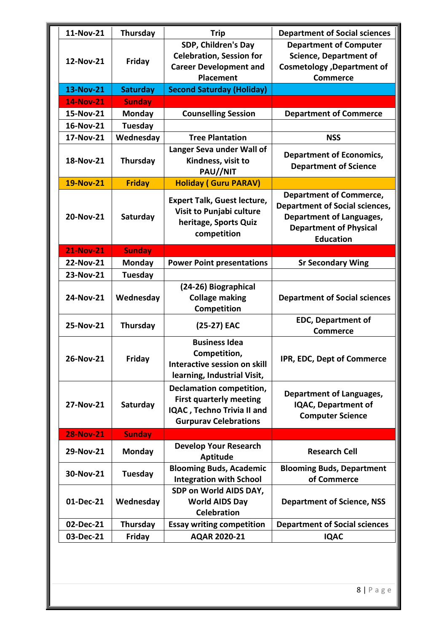| 11-Nov-21        | Thursday        | <b>Trip</b>                                                      | <b>Department of Social sciences</b>            |
|------------------|-----------------|------------------------------------------------------------------|-------------------------------------------------|
|                  |                 | SDP, Children's Day                                              | <b>Department of Computer</b>                   |
| 12-Nov-21        | Friday          | <b>Celebration, Session for</b>                                  | <b>Science, Department of</b>                   |
|                  |                 | <b>Career Development and</b>                                    | <b>Cosmetology</b> , Department of              |
|                  |                 | <b>Placement</b>                                                 | <b>Commerce</b>                                 |
| 13-Nov-21        | <b>Saturday</b> | <b>Second Saturday (Holiday)</b>                                 |                                                 |
| <b>14-Nov-21</b> | <b>Sunday</b>   |                                                                  |                                                 |
| 15-Nov-21        | Monday          | <b>Counselling Session</b>                                       | <b>Department of Commerce</b>                   |
| 16-Nov-21        | <b>Tuesday</b>  |                                                                  |                                                 |
| 17-Nov-21        | Wednesday       | <b>Tree Plantation</b>                                           | <b>NSS</b>                                      |
|                  |                 | Langer Seva under Wall of                                        |                                                 |
| 18-Nov-21        | Thursday        | Kindness, visit to                                               | <b>Department of Economics,</b>                 |
|                  |                 | PAU//NIT                                                         | <b>Department of Science</b>                    |
| 19-Nov-21        | <b>Friday</b>   | <b>Holiday (Guru PARAV)</b>                                      |                                                 |
|                  |                 | <b>Expert Talk, Guest lecture,</b>                               | <b>Department of Commerce,</b>                  |
|                  |                 | Visit to Punjabi culture                                         | <b>Department of Social sciences,</b>           |
| 20-Nov-21        | Saturday        | heritage, Sports Quiz                                            | <b>Department of Languages,</b>                 |
|                  |                 | competition                                                      | <b>Department of Physical</b>                   |
|                  |                 |                                                                  | <b>Education</b>                                |
| <b>21-Nov-21</b> | <b>Sunday</b>   |                                                                  |                                                 |
| 22-Nov-21        | Monday          | <b>Power Point presentations</b>                                 | <b>Sr Secondary Wing</b>                        |
| 23-Nov-21        | <b>Tuesday</b>  |                                                                  |                                                 |
|                  |                 | (24-26) Biographical                                             |                                                 |
| 24-Nov-21        | Wednesday       | <b>Collage making</b>                                            | <b>Department of Social sciences</b>            |
|                  |                 | Competition                                                      |                                                 |
| 25-Nov-21        | Thursday        | (25-27) EAC                                                      | <b>EDC, Department of</b>                       |
|                  |                 |                                                                  | <b>Commerce</b>                                 |
|                  |                 | <b>Business Idea</b>                                             |                                                 |
| 26-Nov-21        | Friday          | Competition,                                                     | IPR, EDC, Dept of Commerce                      |
|                  |                 | Interactive session on skill                                     |                                                 |
|                  |                 | learning, Industrial Visit,                                      |                                                 |
|                  |                 | <b>Declamation competition,</b>                                  | Department of Languages,                        |
| 27-Nov-21        | Saturday        | <b>First quarterly meeting</b>                                   | <b>IQAC, Department of</b>                      |
|                  |                 | IQAC, Techno Trivia II and                                       | <b>Computer Science</b>                         |
|                  |                 | <b>Gurpurav Celebrations</b>                                     |                                                 |
| <b>28-Nov-21</b> | <b>Sunday</b>   |                                                                  |                                                 |
| 29-Nov-21        | Monday          | <b>Develop Your Research</b>                                     | <b>Research Cell</b>                            |
|                  |                 | Aptitude                                                         |                                                 |
| 30-Nov-21        | Tuesday         | <b>Blooming Buds, Academic</b><br><b>Integration with School</b> | <b>Blooming Buds, Department</b><br>of Commerce |
|                  |                 | SDP on World AIDS DAY,                                           |                                                 |
| 01-Dec-21        | Wednesday       | <b>World AIDS Day</b>                                            | <b>Department of Science, NSS</b>               |
|                  |                 | <b>Celebration</b>                                               |                                                 |
| 02-Dec-21        | Thursday        | <b>Essay writing competition</b>                                 | <b>Department of Social sciences</b>            |
| 03-Dec-21        | Friday          | AQAR 2020-21                                                     | <b>IQAC</b>                                     |
|                  |                 |                                                                  |                                                 |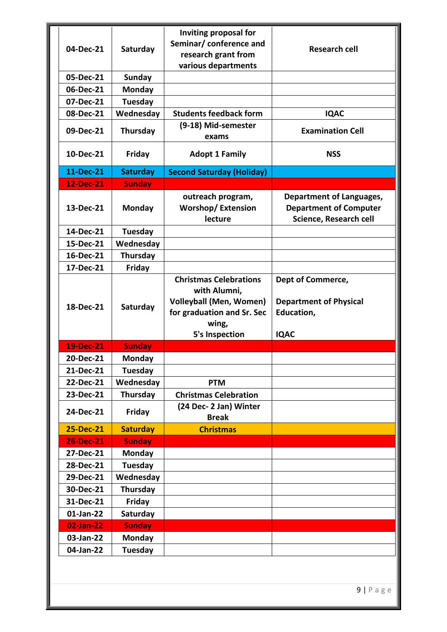|                  |                 | Inviting proposal for                                                                                                                           |                                                                                            |
|------------------|-----------------|-------------------------------------------------------------------------------------------------------------------------------------------------|--------------------------------------------------------------------------------------------|
| 04-Dec-21        | Saturday        | Seminar/ conference and                                                                                                                         | <b>Research cell</b>                                                                       |
|                  |                 | research grant from                                                                                                                             |                                                                                            |
|                  |                 | various departments                                                                                                                             |                                                                                            |
| 05-Dec-21        | <b>Sunday</b>   |                                                                                                                                                 |                                                                                            |
| 06-Dec-21        | Monday          |                                                                                                                                                 |                                                                                            |
| 07-Dec-21        | <b>Tuesday</b>  |                                                                                                                                                 |                                                                                            |
| 08-Dec-21        | Wednesday       | <b>Students feedback form</b>                                                                                                                   | <b>IQAC</b>                                                                                |
| 09-Dec-21        | Thursday        | (9-18) Mid-semester<br>exams                                                                                                                    | <b>Examination Cell</b>                                                                    |
| 10-Dec-21        | Friday          | <b>Adopt 1 Family</b>                                                                                                                           | <b>NSS</b>                                                                                 |
| 11-Dec-21        | <b>Saturday</b> | <b>Second Saturday (Holiday)</b>                                                                                                                |                                                                                            |
| 12-Dec-21        | <b>Sunday</b>   |                                                                                                                                                 |                                                                                            |
| 13-Dec-21        | <b>Monday</b>   | outreach program,<br><b>Worshop/Extension</b><br>lecture                                                                                        | <b>Department of Languages,</b><br><b>Department of Computer</b><br>Science, Research cell |
| 14-Dec-21        | <b>Tuesday</b>  |                                                                                                                                                 |                                                                                            |
| 15-Dec-21        | Wednesday       |                                                                                                                                                 |                                                                                            |
| 16-Dec-21        | Thursday        |                                                                                                                                                 |                                                                                            |
| 17-Dec-21        | Friday          |                                                                                                                                                 |                                                                                            |
| 18-Dec-21        | Saturday        | <b>Christmas Celebrations</b><br>with Alumni,<br><b>Volleyball (Men, Women)</b><br>for graduation and Sr. Sec<br>wing,<br><b>5's Inspection</b> | Dept of Commerce,<br><b>Department of Physical</b><br>Education,<br><b>IQAC</b>            |
| <b>19-Dec-21</b> | <b>Sunday</b>   |                                                                                                                                                 |                                                                                            |
| 20-Dec-21        | <b>Monday</b>   |                                                                                                                                                 |                                                                                            |
| 21-Dec-21        | <b>Tuesday</b>  |                                                                                                                                                 |                                                                                            |
| 22-Dec-21        | Wednesday       | <b>PTM</b>                                                                                                                                      |                                                                                            |
| 23-Dec-21        | Thursday        | <b>Christmas Celebration</b>                                                                                                                    |                                                                                            |
| 24-Dec-21        | Friday          | (24 Dec- 2 Jan) Winter<br><b>Break</b>                                                                                                          |                                                                                            |
| 25-Dec-21        | <b>Saturday</b> | <b>Christmas</b>                                                                                                                                |                                                                                            |
| <b>26-Dec-21</b> | <b>Sunday</b>   |                                                                                                                                                 |                                                                                            |
| 27-Dec-21        | <b>Monday</b>   |                                                                                                                                                 |                                                                                            |
| 28-Dec-21        | Tuesday         |                                                                                                                                                 |                                                                                            |
| 29-Dec-21        | Wednesday       |                                                                                                                                                 |                                                                                            |
| 30-Dec-21        | Thursday        |                                                                                                                                                 |                                                                                            |
| 31-Dec-21        | Friday          |                                                                                                                                                 |                                                                                            |
| 01-Jan-22        | Saturday        |                                                                                                                                                 |                                                                                            |
| 02-Jan-22        | <b>Sunday</b>   |                                                                                                                                                 |                                                                                            |
| 03-Jan-22        | <b>Monday</b>   |                                                                                                                                                 |                                                                                            |
| 04-Jan-22        | Tuesday         |                                                                                                                                                 |                                                                                            |
|                  |                 |                                                                                                                                                 |                                                                                            |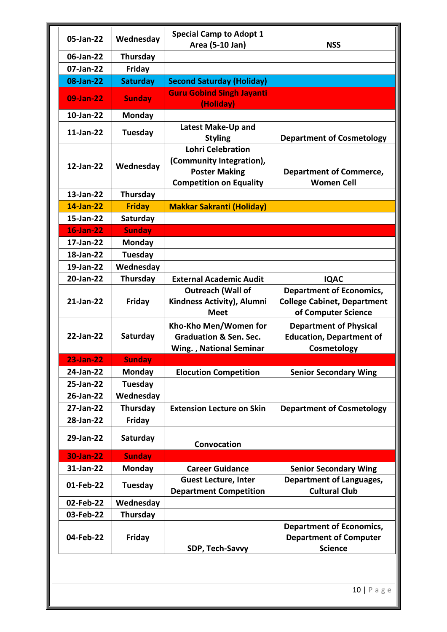|                  |                 | <b>Special Camp to Adopt 1</b>    |                                    |
|------------------|-----------------|-----------------------------------|------------------------------------|
| 05-Jan-22        | Wednesday       | Area (5-10 Jan)                   | <b>NSS</b>                         |
| 06-Jan-22        | Thursday        |                                   |                                    |
| 07-Jan-22        | Friday          |                                   |                                    |
| 08-Jan-22        | <b>Saturday</b> | <b>Second Saturday (Holiday)</b>  |                                    |
|                  |                 | <b>Guru Gobind Singh Jayanti</b>  |                                    |
| 09-Jan-22        | <b>Sunday</b>   | (Holiday)                         |                                    |
| 10-Jan-22        | <b>Monday</b>   |                                   |                                    |
| 11-Jan-22        | Tuesday         | Latest Make-Up and                |                                    |
|                  |                 | <b>Styling</b>                    | <b>Department of Cosmetology</b>   |
|                  |                 | <b>Lohri Celebration</b>          |                                    |
| 12-Jan-22        | Wednesday       | (Community Integration),          |                                    |
|                  |                 | <b>Poster Making</b>              | <b>Department of Commerce,</b>     |
|                  |                 | <b>Competition on Equality</b>    | <b>Women Cell</b>                  |
| 13-Jan-22        | Thursday        |                                   |                                    |
| 14-Jan-22        | <b>Friday</b>   | <b>Makkar Sakranti (Holiday)</b>  |                                    |
| 15-Jan-22        | Saturday        |                                   |                                    |
| 16-Jan-22        | <b>Sunday</b>   |                                   |                                    |
| 17-Jan-22        | Monday          |                                   |                                    |
| 18-Jan-22        | Tuesday         |                                   |                                    |
| 19-Jan-22        | Wednesday       |                                   |                                    |
| 20-Jan-22        | Thursday        | <b>External Academic Audit</b>    | <b>IQAC</b>                        |
|                  |                 | <b>Outreach (Wall of</b>          | <b>Department of Economics,</b>    |
| 21-Jan-22        | Friday          | Kindness Activity), Alumni        | <b>College Cabinet, Department</b> |
|                  |                 | <b>Meet</b>                       | of Computer Science                |
| 22-Jan-22        | Saturday        | Kho-Kho Men/Women for             | <b>Department of Physical</b>      |
|                  |                 | <b>Graduation &amp; Sen. Sec.</b> | <b>Education, Department of</b>    |
| <b>23-Jan-22</b> | <b>Sunday</b>   | <b>Wing., National Seminar</b>    | Cosmetology                        |
| 24-Jan-22        | <b>Monday</b>   | <b>Elocution Competition</b>      | <b>Senior Secondary Wing</b>       |
| 25-Jan-22        | Tuesday         |                                   |                                    |
| 26-Jan-22        | Wednesday       |                                   |                                    |
| 27-Jan-22        | Thursday        | <b>Extension Lecture on Skin</b>  | <b>Department of Cosmetology</b>   |
| 28-Jan-22        | <b>Friday</b>   |                                   |                                    |
|                  |                 |                                   |                                    |
| 29-Jan-22        | Saturday        | Convocation                       |                                    |
| 30-Jan-22        | <b>Sunday</b>   |                                   |                                    |
| 31-Jan-22        | <b>Monday</b>   | <b>Career Guidance</b>            | <b>Senior Secondary Wing</b>       |
|                  |                 | <b>Guest Lecture, Inter</b>       | <b>Department of Languages,</b>    |
| 01-Feb-22        | Tuesday         | <b>Department Competition</b>     | <b>Cultural Club</b>               |
| 02-Feb-22        | Wednesday       |                                   |                                    |
| 03-Feb-22        | Thursday        |                                   |                                    |
|                  |                 |                                   | <b>Department of Economics,</b>    |
| 04-Feb-22        | <b>Friday</b>   |                                   | <b>Department of Computer</b>      |
|                  |                 | SDP, Tech-Savvy                   | <b>Science</b>                     |
|                  |                 |                                   |                                    |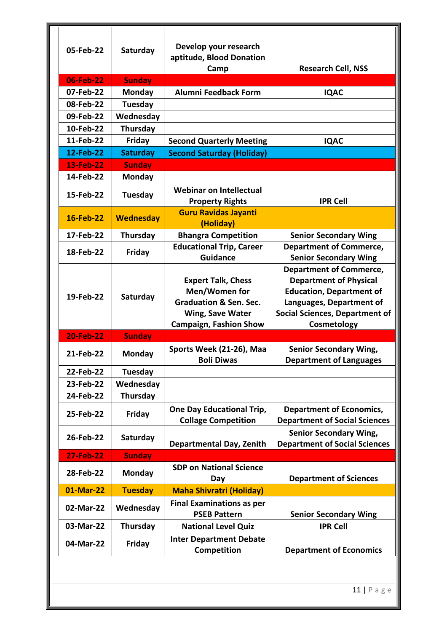| 05-Feb-22        | Saturday         | Develop your research<br>aptitude, Blood Donation<br>Camp                                                                            | <b>Research Cell, NSS</b>                                                                                                                                                              |
|------------------|------------------|--------------------------------------------------------------------------------------------------------------------------------------|----------------------------------------------------------------------------------------------------------------------------------------------------------------------------------------|
| 06-Feb-22        | <b>Sunday</b>    |                                                                                                                                      |                                                                                                                                                                                        |
| 07-Feb-22        | <b>Monday</b>    | <b>Alumni Feedback Form</b>                                                                                                          | <b>IQAC</b>                                                                                                                                                                            |
| 08-Feb-22        | <b>Tuesday</b>   |                                                                                                                                      |                                                                                                                                                                                        |
| 09-Feb-22        | Wednesday        |                                                                                                                                      |                                                                                                                                                                                        |
| 10-Feb-22        | Thursday         |                                                                                                                                      |                                                                                                                                                                                        |
| 11-Feb-22        | Friday           | <b>Second Quarterly Meeting</b>                                                                                                      | <b>IQAC</b>                                                                                                                                                                            |
| 12-Feb-22        | <b>Saturday</b>  | <b>Second Saturday (Holiday)</b>                                                                                                     |                                                                                                                                                                                        |
| 13-Feb-22        | <b>Sunday</b>    |                                                                                                                                      |                                                                                                                                                                                        |
| 14-Feb-22        | <b>Monday</b>    |                                                                                                                                      |                                                                                                                                                                                        |
| 15-Feb-22        | <b>Tuesday</b>   | <b>Webinar on Intellectual</b><br><b>Property Rights</b>                                                                             | <b>IPR Cell</b>                                                                                                                                                                        |
| 16-Feb-22        | <b>Wednesday</b> | <b>Guru Ravidas Jayanti</b><br>(Holiday)                                                                                             |                                                                                                                                                                                        |
| 17-Feb-22        | Thursday         | <b>Bhangra Competition</b>                                                                                                           | <b>Senior Secondary Wing</b>                                                                                                                                                           |
| 18-Feb-22        | Friday           | <b>Educational Trip, Career</b><br><b>Guidance</b>                                                                                   | <b>Department of Commerce,</b><br><b>Senior Secondary Wing</b>                                                                                                                         |
| 19-Feb-22        | Saturday         | <b>Expert Talk, Chess</b><br>Men/Women for<br><b>Graduation &amp; Sen. Sec.</b><br>Wing, Save Water<br><b>Campaign, Fashion Show</b> | <b>Department of Commerce,</b><br><b>Department of Physical</b><br><b>Education, Department of</b><br>Languages, Department of<br><b>Social Sciences, Department of</b><br>Cosmetology |
| <b>20-Feb-22</b> | <b>Sunday</b>    |                                                                                                                                      |                                                                                                                                                                                        |
| 21-Feb-22        | <b>Monday</b>    | Sports Week (21-26), Maa<br><b>Boli Diwas</b>                                                                                        | <b>Senior Secondary Wing,</b><br><b>Department of Languages</b>                                                                                                                        |
| 22-Feb-22        | <b>Tuesday</b>   |                                                                                                                                      |                                                                                                                                                                                        |
| 23-Feb-22        | Wednesday        |                                                                                                                                      |                                                                                                                                                                                        |
| 24-Feb-22        | <b>Thursday</b>  |                                                                                                                                      |                                                                                                                                                                                        |
| 25-Feb-22        | Friday           | <b>One Day Educational Trip,</b><br><b>Collage Competition</b>                                                                       | <b>Department of Economics,</b><br><b>Department of Social Sciences</b>                                                                                                                |
| 26-Feb-22        | Saturday         | <b>Departmental Day, Zenith</b>                                                                                                      | <b>Senior Secondary Wing,</b><br><b>Department of Social Sciences</b>                                                                                                                  |
| <b>27-Feb-22</b> | <b>Sunday</b>    |                                                                                                                                      |                                                                                                                                                                                        |
| 28-Feb-22        | <b>Monday</b>    | <b>SDP on National Science</b><br>Day                                                                                                | <b>Department of Sciences</b>                                                                                                                                                          |
| 01-Mar-22        | <b>Tuesday</b>   | <b>Maha Shivratri (Holiday)</b>                                                                                                      |                                                                                                                                                                                        |
| 02-Mar-22        | Wednesday        | <b>Final Examinations as per</b><br><b>PSEB Pattern</b>                                                                              | <b>Senior Secondary Wing</b>                                                                                                                                                           |
| 03-Mar-22        | Thursday         | <b>National Level Quiz</b>                                                                                                           | <b>IPR Cell</b>                                                                                                                                                                        |
| 04-Mar-22        | Friday           | <b>Inter Department Debate</b><br>Competition                                                                                        | <b>Department of Economics</b>                                                                                                                                                         |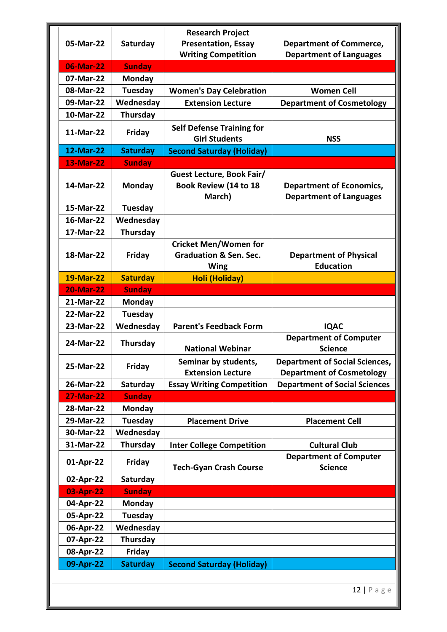|                  |                 | <b>Research Project</b>                                                          |                                                                           |
|------------------|-----------------|----------------------------------------------------------------------------------|---------------------------------------------------------------------------|
| 05-Mar-22        | Saturday        | <b>Presentation, Essay</b>                                                       | <b>Department of Commerce,</b>                                            |
|                  |                 | <b>Writing Competition</b>                                                       | <b>Department of Languages</b>                                            |
| 06-Mar-22        | <b>Sunday</b>   |                                                                                  |                                                                           |
| 07-Mar-22        | <b>Monday</b>   |                                                                                  |                                                                           |
| 08-Mar-22        | Tuesday         | <b>Women's Day Celebration</b>                                                   | <b>Women Cell</b>                                                         |
| 09-Mar-22        | Wednesday       | <b>Extension Lecture</b>                                                         | <b>Department of Cosmetology</b>                                          |
| 10-Mar-22        | Thursday        |                                                                                  |                                                                           |
| 11-Mar-22        | Friday          | <b>Self Defense Training for</b><br><b>Girl Students</b>                         | <b>NSS</b>                                                                |
| 12-Mar-22        | <b>Saturday</b> | <b>Second Saturday (Holiday)</b>                                                 |                                                                           |
| <b>13-Mar-22</b> | <b>Sunday</b>   |                                                                                  |                                                                           |
| 14-Mar-22        | Monday          | Guest Lecture, Book Fair/<br>Book Review (14 to 18<br>March)                     | <b>Department of Economics,</b><br><b>Department of Languages</b>         |
| 15-Mar-22        | Tuesday         |                                                                                  |                                                                           |
| 16-Mar-22        | Wednesday       |                                                                                  |                                                                           |
| 17-Mar-22        | Thursday        |                                                                                  |                                                                           |
| 18-Mar-22        | Friday          | <b>Cricket Men/Women for</b><br><b>Graduation &amp; Sen. Sec.</b><br><b>Wing</b> | <b>Department of Physical</b><br><b>Education</b>                         |
| 19-Mar-22        | <b>Saturday</b> | <b>Holi (Holiday)</b>                                                            |                                                                           |
| <b>20-Mar-22</b> | <b>Sunday</b>   |                                                                                  |                                                                           |
| 21-Mar-22        | Monday          |                                                                                  |                                                                           |
| 22-Mar-22        | Tuesday         |                                                                                  |                                                                           |
| 23-Mar-22        | Wednesday       | <b>Parent's Feedback Form</b>                                                    | <b>IQAC</b>                                                               |
| 24-Mar-22        | Thursday        | <b>National Webinar</b>                                                          | <b>Department of Computer</b><br><b>Science</b>                           |
| 25-Mar-22        | Friday          | Seminar by students,<br><b>Extension Lecture</b>                                 | <b>Department of Social Sciences,</b><br><b>Department of Cosmetology</b> |
| 26-Mar-22        | Saturday        | <b>Essay Writing Competition</b>                                                 | <b>Department of Social Sciences</b>                                      |
| <b>27-Mar-22</b> | <b>Sunday</b>   |                                                                                  |                                                                           |
| 28-Mar-22        | <b>Monday</b>   |                                                                                  |                                                                           |
| 29-Mar-22        | Tuesday         | <b>Placement Drive</b>                                                           | <b>Placement Cell</b>                                                     |
| 30-Mar-22        | Wednesday       |                                                                                  |                                                                           |
| 31-Mar-22        | Thursday        | <b>Inter College Competition</b>                                                 | <b>Cultural Club</b>                                                      |
| 01-Apr-22        | Friday          | <b>Tech-Gyan Crash Course</b>                                                    | <b>Department of Computer</b><br><b>Science</b>                           |
| 02-Apr-22        | Saturday        |                                                                                  |                                                                           |
| 03-Apr-22        | <b>Sunday</b>   |                                                                                  |                                                                           |
| 04-Apr-22        | Monday          |                                                                                  |                                                                           |
| 05-Apr-22        | Tuesday         |                                                                                  |                                                                           |
| 06-Apr-22        | Wednesday       |                                                                                  |                                                                           |
| 07-Apr-22        | Thursday        |                                                                                  |                                                                           |
| 08-Apr-22        | Friday          |                                                                                  |                                                                           |
| 09-Apr-22        | <b>Saturday</b> | <b>Second Saturday (Holiday)</b>                                                 |                                                                           |
|                  |                 |                                                                                  |                                                                           |

12 | Page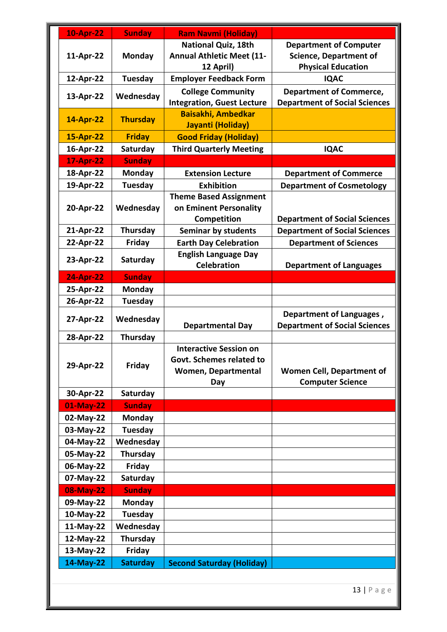| <b>10-Apr-22</b> | <b>Sunday</b>   | <b>Ram Navmi (Holiday)</b>                                  |                                      |
|------------------|-----------------|-------------------------------------------------------------|--------------------------------------|
|                  |                 | <b>National Quiz, 18th</b>                                  | <b>Department of Computer</b>        |
| 11-Apr-22        | Monday          | <b>Annual Athletic Meet (11-</b>                            | <b>Science, Department of</b>        |
|                  |                 | 12 April)                                                   | <b>Physical Education</b>            |
| 12-Apr-22        | <b>Tuesday</b>  | <b>Employer Feedback Form</b>                               | <b>IQAC</b>                          |
| 13-Apr-22        | Wednesday       | <b>College Community</b>                                    | <b>Department of Commerce,</b>       |
|                  |                 | <b>Integration, Guest Lecture</b>                           | <b>Department of Social Sciences</b> |
| 14-Apr-22        | <b>Thursday</b> | <b>Baisakhi, Ambedkar</b>                                   |                                      |
|                  |                 | Jayanti (Holiday)                                           |                                      |
| 15-Apr-22        | <b>Friday</b>   | <b>Good Friday (Holiday)</b>                                |                                      |
| 16-Apr-22        | Saturday        | <b>Third Quarterly Meeting</b>                              | <b>IQAC</b>                          |
| <b>17-Apr-22</b> | <b>Sunday</b>   |                                                             |                                      |
| 18-Apr-22        | Monday          | <b>Extension Lecture</b>                                    | <b>Department of Commerce</b>        |
| 19-Apr-22        | <b>Tuesday</b>  | <b>Exhibition</b>                                           | <b>Department of Cosmetology</b>     |
|                  |                 | <b>Theme Based Assignment</b>                               |                                      |
| 20-Apr-22        | Wednesday       | on Eminent Personality                                      |                                      |
|                  |                 | <b>Competition</b>                                          | <b>Department of Social Sciences</b> |
| 21-Apr-22        | Thursday        | <b>Seminar by students</b>                                  | <b>Department of Social Sciences</b> |
| 22-Apr-22        | Friday          | <b>Earth Day Celebration</b><br><b>English Language Day</b> | <b>Department of Sciences</b>        |
| 23-Apr-22        | Saturday        | <b>Celebration</b>                                          | <b>Department of Languages</b>       |
| <b>24-Apr-22</b> | <b>Sunday</b>   |                                                             |                                      |
| 25-Apr-22        | Monday          |                                                             |                                      |
| 26-Apr-22        | <b>Tuesday</b>  |                                                             |                                      |
|                  |                 |                                                             | Department of Languages,             |
| 27-Apr-22        | Wednesday       | <b>Departmental Day</b>                                     | <b>Department of Social Sciences</b> |
| 28-Apr-22        | Thursday        |                                                             |                                      |
|                  |                 | <b>Interactive Session on</b>                               |                                      |
|                  |                 | Govt. Schemes related to                                    |                                      |
| 29-Apr-22        | Friday          | <b>Women, Departmental</b>                                  | <b>Women Cell, Department of</b>     |
|                  |                 | Day                                                         | <b>Computer Science</b>              |
| 30-Apr-22        | Saturday        |                                                             |                                      |
| 01-May-22        | <b>Sunday</b>   |                                                             |                                      |
| 02-May-22        | <b>Monday</b>   |                                                             |                                      |
| 03-May-22        | Tuesday         |                                                             |                                      |
| 04-May-22        | Wednesday       |                                                             |                                      |
| 05-May-22        | Thursday        |                                                             |                                      |
| 06-May-22        | <b>Friday</b>   |                                                             |                                      |
| 07-May-22        | Saturday        |                                                             |                                      |
| 08-May-22        | <b>Sunday</b>   |                                                             |                                      |
| 09-May-22        | <b>Monday</b>   |                                                             |                                      |
| 10-May-22        | Tuesday         |                                                             |                                      |
| 11-May-22        | Wednesday       |                                                             |                                      |
| 12-May-22        | Thursday        |                                                             |                                      |
| 13-May-22        | <b>Friday</b>   |                                                             |                                      |
| 14-May-22        | <b>Saturday</b> | <b>Second Saturday (Holiday)</b>                            |                                      |

13 | Page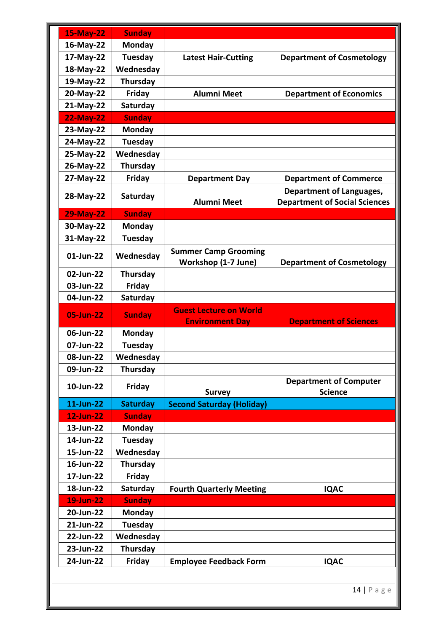| <b>15-May-22</b> | <b>Sunday</b>   |                                                         |                                                                         |
|------------------|-----------------|---------------------------------------------------------|-------------------------------------------------------------------------|
| 16-May-22        | <b>Monday</b>   |                                                         |                                                                         |
| 17-May-22        | Tuesday         | <b>Latest Hair-Cutting</b>                              | <b>Department of Cosmetology</b>                                        |
| 18-May-22        | Wednesday       |                                                         |                                                                         |
| 19-May-22        | Thursday        |                                                         |                                                                         |
| 20-May-22        | Friday          | <b>Alumni Meet</b>                                      | <b>Department of Economics</b>                                          |
| 21-May-22        | Saturday        |                                                         |                                                                         |
| <b>22-May-22</b> | <b>Sunday</b>   |                                                         |                                                                         |
| 23-May-22        | <b>Monday</b>   |                                                         |                                                                         |
| 24-May-22        | Tuesday         |                                                         |                                                                         |
| 25-May-22        | Wednesday       |                                                         |                                                                         |
| 26-May-22        | Thursday        |                                                         |                                                                         |
| 27-May-22        | Friday          | <b>Department Day</b>                                   | <b>Department of Commerce</b>                                           |
| 28-May-22        | Saturday        | <b>Alumni Meet</b>                                      | <b>Department of Languages,</b><br><b>Department of Social Sciences</b> |
| <b>29-May-22</b> | <b>Sunday</b>   |                                                         |                                                                         |
| 30-May-22        | <b>Monday</b>   |                                                         |                                                                         |
| 31-May-22        | Tuesday         |                                                         |                                                                         |
| 01-Jun-22        | Wednesday       | <b>Summer Camp Grooming</b><br>Workshop (1-7 June)      | <b>Department of Cosmetology</b>                                        |
| 02-Jun-22        | Thursday        |                                                         |                                                                         |
| 03-Jun-22        | Friday          |                                                         |                                                                         |
| 04-Jun-22        | Saturday        |                                                         |                                                                         |
| 05-Jun-22        | <b>Sunday</b>   | <b>Guest Lecture on World</b><br><b>Environment Day</b> | <b>Department of Sciences</b>                                           |
| 06-Jun-22        | <b>Monday</b>   |                                                         |                                                                         |
| 07-Jun-22        | Tuesday         |                                                         |                                                                         |
| 08-Jun-22        | Wednesday       |                                                         |                                                                         |
| 09-Jun-22        | Thursday        |                                                         |                                                                         |
| 10-Jun-22        | Friday          | <b>Survey</b>                                           | <b>Department of Computer</b><br><b>Science</b>                         |
| 11-Jun-22        | <b>Saturday</b> | <b>Second Saturday (Holiday)</b>                        |                                                                         |
| <b>12-Jun-22</b> | <b>Sunday</b>   |                                                         |                                                                         |
| 13-Jun-22        | <b>Monday</b>   |                                                         |                                                                         |
| 14-Jun-22        | <b>Tuesday</b>  |                                                         |                                                                         |
| 15-Jun-22        | Wednesday       |                                                         |                                                                         |
| 16-Jun-22        | Thursday        |                                                         |                                                                         |
| 17-Jun-22        | Friday          |                                                         |                                                                         |
| 18-Jun-22        | Saturday        | <b>Fourth Quarterly Meeting</b>                         | <b>IQAC</b>                                                             |
| <b>19-Jun-22</b> | <b>Sunday</b>   |                                                         |                                                                         |
| 20-Jun-22        | <b>Monday</b>   |                                                         |                                                                         |
| 21-Jun-22        | Tuesday         |                                                         |                                                                         |
| 22-Jun-22        | Wednesday       |                                                         |                                                                         |
| 23-Jun-22        | Thursday        |                                                         |                                                                         |
| 24-Jun-22        |                 |                                                         | <b>IQAC</b>                                                             |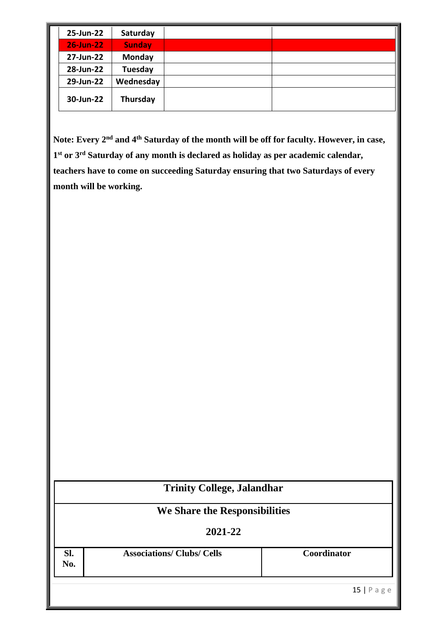| 25-Jun-22        | Saturday      |  |
|------------------|---------------|--|
| <b>26-Jun-22</b> | <b>Sunday</b> |  |
| 27-Jun-22        | <b>Monday</b> |  |
| 28-Jun-22        | Tuesday       |  |
| 29-Jun-22        | Wednesday     |  |
| 30-Jun-22        | Thursday      |  |

**Note: Every 2nd and 4th Saturday of the month will be off for faculty. However, in case, 1st or 3rd Saturday of any month is declared as holiday as per academic calendar, teachers have to come on succeeding Saturday ensuring that two Saturdays of every month will be working.** 

|                               |                                   | <b>Trinity College, Jalandhar</b> |
|-------------------------------|-----------------------------------|-----------------------------------|
| We Share the Responsibilities |                                   |                                   |
|                               | 2021-22                           |                                   |
| SI.<br>No.                    | <b>Associations/ Clubs/ Cells</b> | Coordinator                       |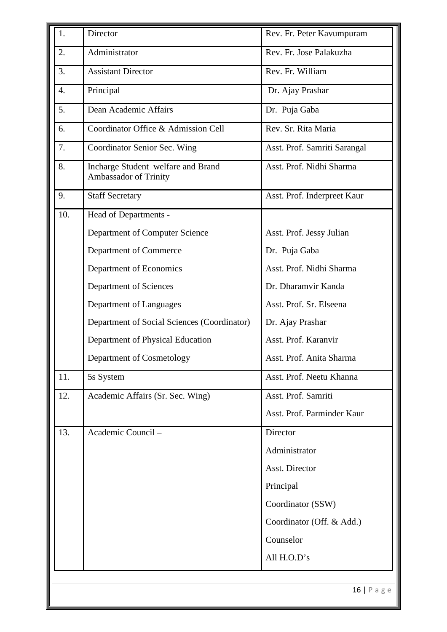| 1.  | Director                                                    | Rev. Fr. Peter Kavumpuram    |
|-----|-------------------------------------------------------------|------------------------------|
| 2.  | Administrator                                               | Rev. Fr. Jose Palakuzha      |
| 3.  | <b>Assistant Director</b>                                   | Rev. Fr. William             |
| 4.  | Principal                                                   | Dr. Ajay Prashar             |
| 5.  | Dean Academic Affairs                                       | Dr. Puja Gaba                |
| 6.  | Coordinator Office & Admission Cell                         | Rev. Sr. Rita Maria          |
| 7.  | Coordinator Senior Sec. Wing                                | Asst. Prof. Samriti Sarangal |
| 8.  | Incharge Student welfare and Brand<br>Ambassador of Trinity | Asst. Prof. Nidhi Sharma     |
| 9.  | <b>Staff Secretary</b>                                      | Asst. Prof. Inderpreet Kaur  |
| 10. | Head of Departments -                                       |                              |
|     | Department of Computer Science                              | Asst. Prof. Jessy Julian     |
|     | Department of Commerce                                      | Dr. Puja Gaba                |
|     | Department of Economics                                     | Asst. Prof. Nidhi Sharma     |
|     | Department of Sciences                                      | Dr. Dharamvir Kanda          |
|     | Department of Languages                                     | Asst. Prof. Sr. Elseena      |
|     | Department of Social Sciences (Coordinator)                 | Dr. Ajay Prashar             |
|     | Department of Physical Education                            | Asst. Prof. Karanvir         |
|     | Department of Cosmetology                                   | Asst. Prof. Anita Sharma     |
| 11. | 5s System                                                   | Asst. Prof. Neetu Khanna     |
| 12. | Academic Affairs (Sr. Sec. Wing)                            | Asst. Prof. Samriti          |
|     |                                                             | Asst. Prof. Parminder Kaur   |
| 13. | Academic Council -                                          | Director                     |
|     |                                                             | Administrator                |
|     |                                                             | Asst. Director               |
|     |                                                             | Principal                    |
|     |                                                             | Coordinator (SSW)            |
|     |                                                             | Coordinator (Off. & Add.)    |
|     |                                                             | Counselor                    |
|     |                                                             | All H.O.D's                  |
|     |                                                             |                              |
|     |                                                             | $16$   Page                  |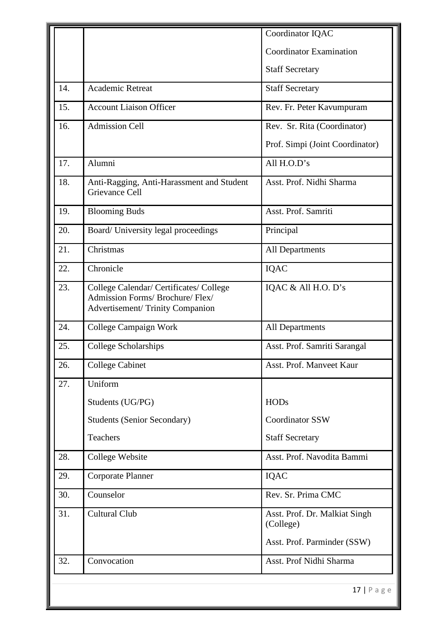|     |                                                                                                                | Coordinator IQAC                           |
|-----|----------------------------------------------------------------------------------------------------------------|--------------------------------------------|
|     |                                                                                                                | <b>Coordinator Examination</b>             |
|     |                                                                                                                | <b>Staff Secretary</b>                     |
| 14. | <b>Academic Retreat</b>                                                                                        | <b>Staff Secretary</b>                     |
| 15. | <b>Account Liaison Officer</b>                                                                                 | Rev. Fr. Peter Kavumpuram                  |
| 16. | <b>Admission Cell</b>                                                                                          | Rev. Sr. Rita (Coordinator)                |
|     |                                                                                                                | Prof. Simpi (Joint Coordinator)            |
| 17. | Alumni                                                                                                         | All H.O.D's                                |
| 18. | Anti-Ragging, Anti-Harassment and Student<br>Grievance Cell                                                    | Asst. Prof. Nidhi Sharma                   |
| 19. | <b>Blooming Buds</b>                                                                                           | Asst. Prof. Samriti                        |
| 20. | Board/ University legal proceedings                                                                            | Principal                                  |
| 21. | Christmas                                                                                                      | All Departments                            |
| 22. | Chronicle                                                                                                      | <b>IQAC</b>                                |
| 23. | College Calendar/ Certificates/ College<br>Admission Forms/ Brochure/ Flex/<br>Advertisement/Trinity Companion | IQAC & All H.O. D's                        |
| 24. | College Campaign Work                                                                                          | All Departments                            |
| 25. | College Scholarships                                                                                           | Asst. Prof. Samriti Sarangal               |
| 26. | <b>College Cabinet</b>                                                                                         | Asst. Prof. Manveet Kaur                   |
| 27. | Uniform                                                                                                        |                                            |
|     | Students (UG/PG)                                                                                               | <b>HODs</b>                                |
|     | <b>Students (Senior Secondary)</b>                                                                             | Coordinator SSW                            |
|     | Teachers                                                                                                       | <b>Staff Secretary</b>                     |
| 28. | College Website                                                                                                | Asst. Prof. Navodita Bammi                 |
| 29. | <b>Corporate Planner</b>                                                                                       | <b>IQAC</b>                                |
| 30. | Counselor                                                                                                      | Rev. Sr. Prima CMC                         |
| 31. | <b>Cultural Club</b>                                                                                           | Asst. Prof. Dr. Malkiat Singh<br>(College) |
|     |                                                                                                                | Asst. Prof. Parminder (SSW)                |
| 32. | Convocation                                                                                                    | Asst. Prof Nidhi Sharma                    |
|     |                                                                                                                | $17$   Page                                |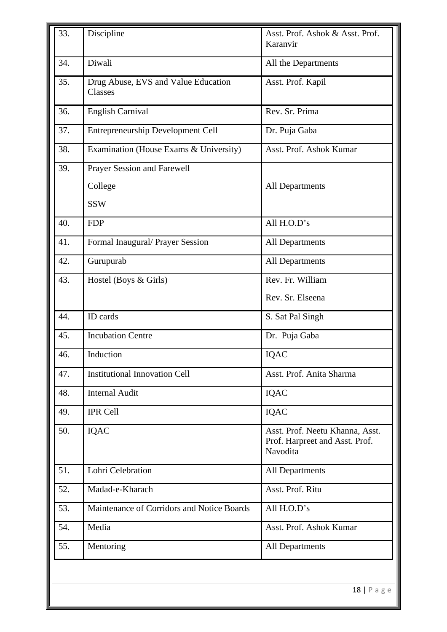| 34.<br>35. | Diwali                                         | All the Departments                                                           |
|------------|------------------------------------------------|-------------------------------------------------------------------------------|
|            |                                                |                                                                               |
|            | Drug Abuse, EVS and Value Education<br>Classes | Asst. Prof. Kapil                                                             |
| 36.        | <b>English Carnival</b>                        | Rev. Sr. Prima                                                                |
| 37.        | <b>Entrepreneurship Development Cell</b>       | Dr. Puja Gaba                                                                 |
| 38.        | Examination (House Exams & University)         | Asst. Prof. Ashok Kumar                                                       |
| 39.        | Prayer Session and Farewell                    |                                                                               |
|            | College                                        | <b>All Departments</b>                                                        |
|            | <b>SSW</b>                                     |                                                                               |
| 40.        | <b>FDP</b>                                     | All H.O.D's                                                                   |
| 41.        | Formal Inaugural/ Prayer Session               | <b>All Departments</b>                                                        |
| 42.        | Gurupurab                                      | All Departments                                                               |
| 43.        | Hostel (Boys & Girls)                          | Rev. Fr. William                                                              |
|            |                                                | Rev. Sr. Elseena                                                              |
| 44.        | ID cards                                       | S. Sat Pal Singh                                                              |
| 45.        | <b>Incubation Centre</b>                       | Dr. Puja Gaba                                                                 |
| 46.        | Induction                                      | <b>IQAC</b>                                                                   |
| 47.        | <b>Institutional Innovation Cell</b>           | Asst. Prof. Anita Sharma                                                      |
| 48.        | <b>Internal Audit</b>                          | IQAC                                                                          |
| 49.        | <b>IPR Cell</b>                                | <b>IQAC</b>                                                                   |
| 50.        | <b>IQAC</b>                                    | Asst. Prof. Neetu Khanna, Asst.<br>Prof. Harpreet and Asst. Prof.<br>Navodita |
| 51.        | Lohri Celebration                              | <b>All Departments</b>                                                        |
| 52.        | Madad-e-Kharach                                | Asst. Prof. Ritu                                                              |
| 53.        | Maintenance of Corridors and Notice Boards     | All H.O.D's                                                                   |
| 54.        | Media                                          | Asst. Prof. Ashok Kumar                                                       |
| 55.        | Mentoring                                      | <b>All Departments</b>                                                        |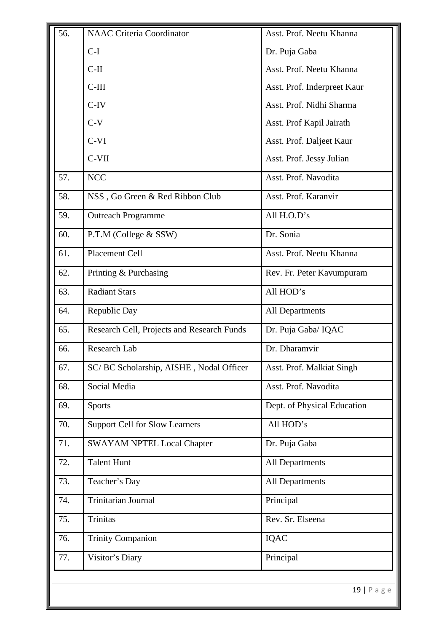| 56. | <b>NAAC Criteria Coordinator</b>           | Asst. Prof. Neetu Khanna    |
|-----|--------------------------------------------|-----------------------------|
|     | $C-I$                                      | Dr. Puja Gaba               |
|     | $C-II$                                     | Asst. Prof. Neetu Khanna    |
|     | $C-III$                                    | Asst. Prof. Inderpreet Kaur |
|     | $C-IV$                                     | Asst. Prof. Nidhi Sharma    |
|     | $C-V$                                      | Asst. Prof Kapil Jairath    |
|     | $C-VI$                                     | Asst. Prof. Daljeet Kaur    |
|     | $C-VII$                                    | Asst. Prof. Jessy Julian    |
| 57. | <b>NCC</b>                                 | Asst. Prof. Navodita        |
| 58. | NSS, Go Green & Red Ribbon Club            | Asst. Prof. Karanvir        |
| 59. | <b>Outreach Programme</b>                  | All H.O.D's                 |
| 60. | P.T.M (College & SSW)                      | Dr. Sonia                   |
| 61. | Placement Cell                             | Asst. Prof. Neetu Khanna    |
| 62. | Printing & Purchasing                      | Rev. Fr. Peter Kavumpuram   |
| 63. | <b>Radiant Stars</b>                       | All HOD's                   |
| 64. | Republic Day                               | <b>All Departments</b>      |
| 65. | Research Cell, Projects and Research Funds | Dr. Puja Gaba/IQAC          |
| 66. | Research Lab                               | Dr. Dharamvir               |
| 67. | SC/BC Scholarship, AISHE, Nodal Officer    | Asst. Prof. Malkiat Singh   |
| 68. | Social Media                               | Asst. Prof. Navodita        |
| 69. | Sports                                     | Dept. of Physical Education |
| 70. | <b>Support Cell for Slow Learners</b>      | All HOD's                   |
| 71. | <b>SWAYAM NPTEL Local Chapter</b>          | Dr. Puja Gaba               |
| 72. | <b>Talent Hunt</b>                         | <b>All Departments</b>      |
| 73. | Teacher's Day                              | <b>All Departments</b>      |
| 74. | Trinitarian Journal                        | Principal                   |
| 75. | <b>Trinitas</b>                            | Rev. Sr. Elseena            |
| 76. | <b>Trinity Companion</b>                   | <b>IQAC</b>                 |
| 77. | Visitor's Diary                            | Principal                   |
|     |                                            |                             |